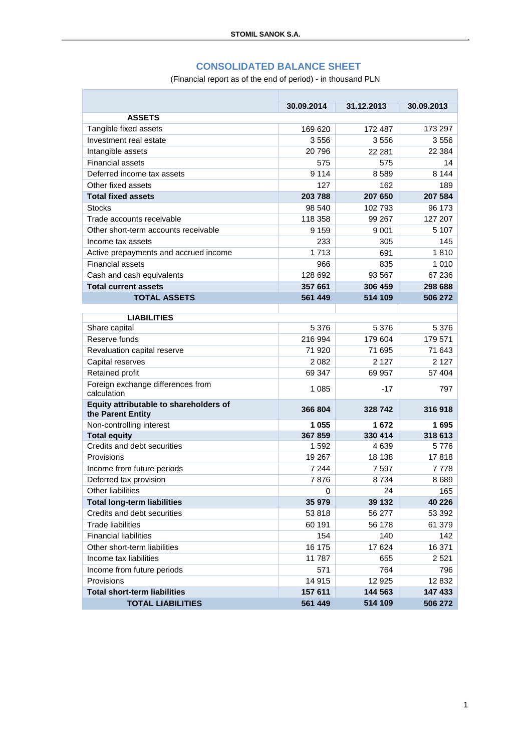### **CONSOLIDATED BALANCE SHEET**

(Financial report as of the end of period) - in thousand PLN

n.

|                                                             | 30.09.2014 | 31.12.2013 | 30.09.2013 |
|-------------------------------------------------------------|------------|------------|------------|
| <b>ASSETS</b>                                               |            |            |            |
| Tangible fixed assets                                       | 169 620    | 172 487    | 173 297    |
| Investment real estate                                      | 3556       | 3556       | 3556       |
| Intangible assets                                           | 20796      | 22 281     | 22 3 84    |
| <b>Financial assets</b>                                     | 575        | 575        | 14         |
| Deferred income tax assets                                  | 9 1 1 4    | 8589       | 8 1 4 4    |
| Other fixed assets                                          | 127        | 162        | 189        |
| <b>Total fixed assets</b>                                   | 203 788    | 207 650    | 207 584    |
| <b>Stocks</b>                                               | 98 540     | 102 793    | 96 173     |
| Trade accounts receivable                                   | 118 358    | 99 267     | 127 207    |
| Other short-term accounts receivable                        | 9 1 5 9    | 9 0 0 1    | 5 107      |
| Income tax assets                                           | 233        | 305        | 145        |
| Active prepayments and accrued income                       | 1 7 1 3    | 691        | 1810       |
| <b>Financial assets</b>                                     | 966        | 835        | 1 0 1 0    |
| Cash and cash equivalents                                   | 128 692    | 93 567     | 67 236     |
| <b>Total current assets</b>                                 | 357 661    | 306 459    | 298 688    |
| <b>TOTAL ASSETS</b>                                         | 561 449    | 514 109    | 506 272    |
|                                                             |            |            |            |
| <b>LIABILITIES</b><br>Share capital                         | 5 3 7 6    | 5 3 7 6    | 5 3 7 6    |
| Reserve funds                                               | 216 994    | 179 604    | 179 571    |
|                                                             | 71 920     | 71 695     | 71 643     |
| Revaluation capital reserve                                 |            | 2 1 2 7    | 2 1 2 7    |
| Capital reserves                                            | 2 0 8 2    |            |            |
| Retained profit                                             | 69 347     | 69 957     | 57 404     |
| Foreign exchange differences from<br>calculation            | 1 0 8 5    | -17        | 797        |
| Equity attributable to shareholders of<br>the Parent Entity | 366 804    | 328742     | 316918     |
| Non-controlling interest                                    | 1 0 5 5    | 1672       | 1695       |
| <b>Total equity</b>                                         | 367859     | 330 414    | 318 613    |
| Credits and debt securities                                 | 1592       | 4639       | 5776       |
| Provisions                                                  | 19 267     | 18 138     | 17818      |
| Income from future periods                                  | 7 2 4 4    | 7 5 9 7    | 7778       |
| Deferred tax provision                                      | 7876       | 8734       | 8689       |
| <b>Other liabilities</b>                                    | 0          | 24         | 165        |
| <b>Total long-term liabilities</b>                          | 35 979     | 39 132     | 40 226     |
| Credits and debt securities                                 | 53 818     | 56 277     | 53 392     |
| <b>Trade liabilities</b>                                    | 60 191     | 56 178     | 61 379     |
| <b>Financial liabilities</b>                                | 154        | 140        | 142        |
| Other short-term liabilities                                | 16 175     | 17 624     | 16 371     |
| Income tax liabilities                                      | 11787      | 655        | 2521       |
| Income from future periods                                  | 571        | 764        | 796        |
| Provisions                                                  | 14 915     | 12 9 25    | 12 832     |
| <b>Total short-term liabilities</b>                         | 157 611    | 144 563    | 147 433    |
| <b>TOTAL LIABILITIES</b>                                    | 561 449    | 514 109    | 506 272    |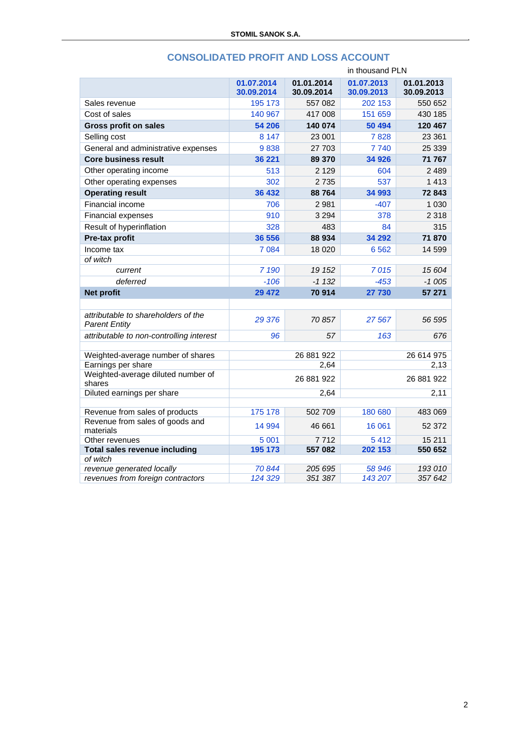|                                                             |                          |                          | in thousand PLN          |                          |
|-------------------------------------------------------------|--------------------------|--------------------------|--------------------------|--------------------------|
|                                                             | 01.07.2014<br>30.09.2014 | 01.01.2014<br>30.09.2014 | 01.07.2013<br>30.09.2013 | 01.01.2013<br>30.09.2013 |
| Sales revenue                                               | 195 173                  | 557 082                  | 202 153                  | 550 652                  |
| Cost of sales                                               | 140 967                  | 417 008                  | 151 659                  | 430 185                  |
| <b>Gross profit on sales</b>                                | 54 206                   | 140 074                  | 50 494                   | 120 467                  |
| Selling cost                                                | 8 1 4 7                  | 23 001                   | 7828                     | 23 361                   |
| General and administrative expenses                         | 9838                     | 27 703                   | 7740                     | 25 339                   |
| <b>Core business result</b>                                 | 36 221                   | 89 370                   | 34 926                   | 71 767                   |
| Other operating income                                      | 513                      | 2 1 2 9                  | 604                      | 2489                     |
| Other operating expenses                                    | 302                      | 2735                     | 537                      | 1413                     |
| <b>Operating result</b>                                     | 36 432                   | 88764                    | 34 993                   | 72843                    |
| Financial income                                            | 706                      | 2981                     | $-407$                   | 1 0 3 0                  |
| <b>Financial expenses</b>                                   | 910                      | 3 2 9 4                  | 378                      | 2 3 1 8                  |
| Result of hyperinflation                                    | 328                      | 483                      | 84                       | 315                      |
| Pre-tax profit                                              | 36 556                   | 88 934                   | 34 292                   | 71 870                   |
| Income tax                                                  | 7 0 8 4                  | 18 0 20                  | 6562                     | 14 599                   |
| of witch                                                    |                          |                          |                          |                          |
| current                                                     | 7 190                    | 19 152                   | 7015                     | 15 604                   |
| deferred                                                    | $-106$                   | $-1132$                  | $-453$                   | $-1005$                  |
| Net profit                                                  | 29 472                   | 70 914                   | 27 730                   | 57 271                   |
|                                                             |                          |                          |                          |                          |
| attributable to shareholders of the<br><b>Parent Entity</b> | 29 376                   | 70857                    | 27 567                   | 56 595                   |
| attributable to non-controlling interest                    | 96                       | 57                       | 163                      | 676                      |
|                                                             |                          |                          |                          |                          |
| Weighted-average number of shares                           |                          | 26 881 922               |                          | 26 614 975               |
| Earnings per share<br>Weighted-average diluted number of    |                          | 2,64                     |                          | 2,13                     |
| shares                                                      |                          | 26 881 922               |                          | 26 881 922               |
| Diluted earnings per share                                  |                          | 2,64                     |                          | 2,11                     |
|                                                             |                          |                          |                          |                          |
| Revenue from sales of products                              | 175 178                  | 502 709                  | 180 680                  | 483 069                  |
| Revenue from sales of goods and<br>materials                | 14 994                   | 46 661                   | 16 061                   | 52 372                   |
| Other revenues                                              | 5 0 0 1                  | 7712                     | 5412                     | 15 211                   |
| <b>Total sales revenue including</b>                        | 195 173                  | 557 082                  | 202 153                  | 550 652                  |
| of witch<br>revenue generated locally                       | 70844                    | 205 695                  | 58 946                   | 193 010                  |
| revenues from foreign contractors                           | 124 329                  | 351 387                  | 143 207                  | 357 642                  |
|                                                             |                          |                          |                          |                          |

# **CONSOLIDATED PROFIT AND LOSS ACCOUNT**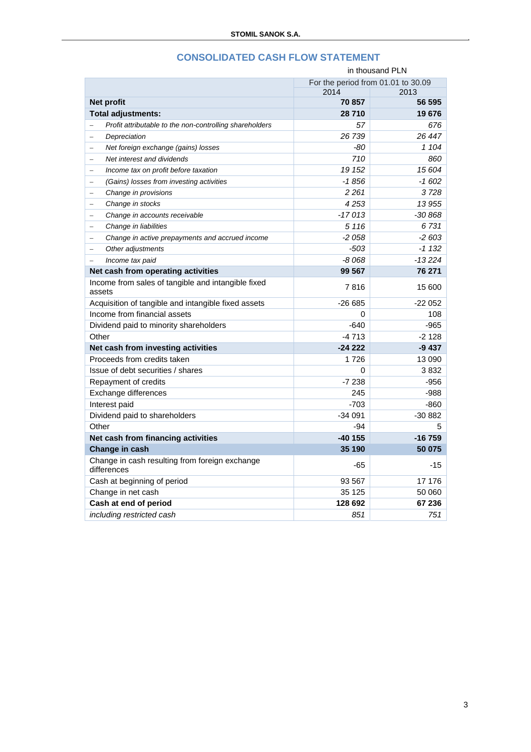| in thousand PLN                                                     |          |          |
|---------------------------------------------------------------------|----------|----------|
| For the period from 01.01 to 30.09                                  |          |          |
|                                                                     | 2014     | 2013     |
| <b>Net profit</b>                                                   | 70 857   | 56 595   |
| Total adjustments:                                                  | 28710    | 19676    |
| Profit attributable to the non-controlling shareholders<br>$\equiv$ | 57       | 676      |
| Depreciation<br>-                                                   | 26 739   | 26 447   |
| Net foreign exchange (gains) losses<br>$\equiv$                     | -80      | 1 104    |
| Net interest and dividends<br>$\equiv$                              | 710      | 860      |
| Income tax on profit before taxation<br>$\equiv$                    | 19 152   | 15 604   |
| (Gains) losses from investing activities                            | $-1856$  | $-1602$  |
| Change in provisions                                                | 2 2 6 1  | 3728     |
| Change in stocks<br>$\qquad \qquad -$                               | 4253     | 13 955   |
| Change in accounts receivable<br>÷                                  | $-17013$ | $-30868$ |
| Change in liabilities<br>$\equiv$                                   | 5 1 1 6  | 6731     |
| Change in active prepayments and accrued income<br>$\equiv$         | $-2058$  | $-2603$  |
| Other adjustments<br>$\equiv$                                       | -503     | $-1132$  |
| Income tax paid                                                     | $-8068$  | $-13224$ |
| Net cash from operating activities                                  | 99 567   | 76 271   |
| Income from sales of tangible and intangible fixed<br>assets        | 7816     | 15 600   |
| Acquisition of tangible and intangible fixed assets                 | $-26665$ | $-22052$ |
| Income from financial assets                                        | $\Omega$ | 108      |
| Dividend paid to minority shareholders                              | $-640$   | $-965$   |
| Other                                                               | $-4713$  | $-2128$  |
| Net cash from investing activities                                  | $-24222$ | $-9437$  |
| Proceeds from credits taken                                         | 1726     | 13 090   |
| Issue of debt securities / shares                                   | 0        | 3832     |
| Repayment of credits                                                | $-7238$  | $-956$   |
| Exchange differences                                                | 245      | $-988$   |
| Interest paid                                                       | $-703$   | $-860$   |
| Dividend paid to shareholders                                       | $-34091$ | -30 882  |
| Other                                                               | -94      | 5        |
| Net cash from financing activities                                  | -40 155  | $-16759$ |
| Change in cash                                                      | 35 190   | 50 075   |
| Change in cash resulting from foreign exchange<br>differences       | -65      | -15      |
| Cash at beginning of period                                         | 93 567   | 17 176   |
| Change in net cash                                                  | 35 125   | 50 060   |
| Cash at end of period                                               | 128 692  | 67 236   |
| including restricted cash                                           | 851      | 751      |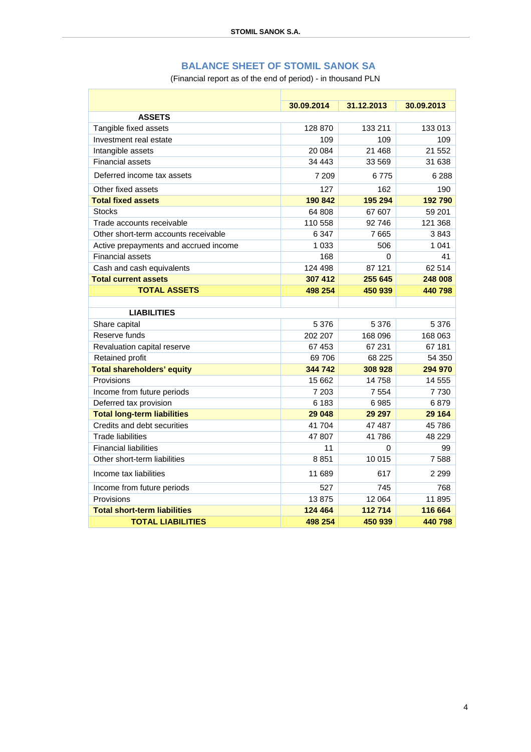# **BALANCE SHEET OF STOMIL SANOK SA**

(Financial report as of the end of period) - in thousand PLN

|                                       | 30.09.2014 | 31.12.2013 | 30.09.2013 |
|---------------------------------------|------------|------------|------------|
| <b>ASSETS</b>                         |            |            |            |
| Tangible fixed assets                 | 128 870    | 133 211    | 133 013    |
| Investment real estate                | 109        | 109        | 109        |
| Intangible assets                     | 20 084     | 21 4 6 8   | 21 552     |
| <b>Financial assets</b>               | 34 443     | 33 569     | 31 638     |
| Deferred income tax assets            | 7 209      | 6775       | 6 2 8 8    |
| Other fixed assets                    | 127        | 162        | 190        |
| <b>Total fixed assets</b>             | 190 842    | 195 294    | 192790     |
| <b>Stocks</b>                         | 64 808     | 67 607     | 59 201     |
| Trade accounts receivable             | 110 558    | 92746      | 121 368    |
| Other short-term accounts receivable  | 6 3 4 7    | 7665       | 3843       |
| Active prepayments and accrued income | 1 0 3 3    | 506        | 1 0 4 1    |
| <b>Financial assets</b>               | 168        | 0          | 41         |
| Cash and cash equivalents             | 124 498    | 87 121     | 62 514     |
| <b>Total current assets</b>           | 307 412    | 255 645    | 248 008    |
| <b>TOTAL ASSETS</b>                   | 498 254    | 450 939    | 440798     |
|                                       |            |            |            |
| <b>LIABILITIES</b>                    |            |            |            |
| Share capital                         | 5 3 7 6    | 5 3 7 6    | 5 3 7 6    |
| Reserve funds                         | 202 207    | 168 096    | 168 063    |
| Revaluation capital reserve           | 67 453     | 67 231     | 67 181     |
| Retained profit                       | 69 706     | 68 225     | 54 350     |
| <b>Total shareholders' equity</b>     | 344 742    | 308 928    | 294 970    |
| Provisions                            | 15 662     | 14758      | 14 555     |
| Income from future periods            | 7 203      | 7 5 5 4    | 7730       |
| Deferred tax provision                | 6 183      | 6985       | 6879       |
| <b>Total long-term liabilities</b>    | 29 048     | 29 29 7    | 29 164     |
| Credits and debt securities           | 41 704     | 47 487     | 45 786     |
| <b>Trade liabilities</b>              | 47 807     | 41786      | 48 229     |
| <b>Financial liabilities</b>          | 11         | 0          | 99         |
| Other short-term liabilities          | 8851       | 10 015     | 7588       |
| Income tax liabilities                | 11 689     | 617        | 2 2 9 9    |
| Income from future periods            | 527        | 745        | 768        |
| Provisions                            | 13875      | 12 064     | 11 895     |
| <b>Total short-term liabilities</b>   | 124 464    | 112714     | 116 664    |
| <b>TOTAL LIABILITIES</b>              | 498 254    | 450 939    | 440798     |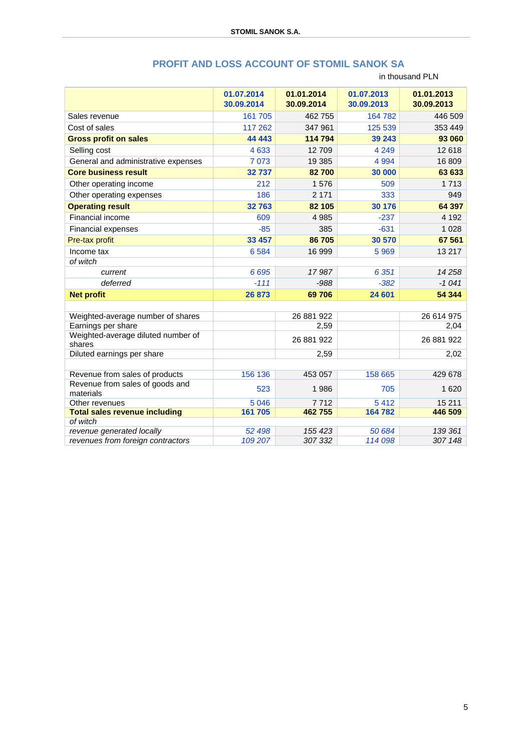|                                              | 01.07.2014<br>30.09.2014 | 01.01.2014<br>30.09.2014 | 01.07.2013<br>30.09.2013 | 01.01.2013<br>30.09.2013 |
|----------------------------------------------|--------------------------|--------------------------|--------------------------|--------------------------|
| Sales revenue                                | 161 705                  | 462 755                  | 164 782                  | 446 509                  |
| Cost of sales                                | 117 262                  | 347 961                  | 125 539                  | 353 449                  |
| <b>Gross profit on sales</b>                 | 44 4 43                  | 114 794                  | 39 243                   | 93 060                   |
| Selling cost                                 | 4 6 3 3                  | 12709                    | 4 2 4 9                  | 12 618                   |
| General and administrative expenses          | 7 0 7 3                  | 19 385                   | 4 9 9 4                  | 16 809                   |
| <b>Core business result</b>                  | 32737                    | 82700                    | 30 000                   | 63 633                   |
| Other operating income                       | 212                      | 1576                     | 509                      | 1713                     |
| Other operating expenses                     | 186                      | 2 1 7 1                  | 333                      | 949                      |
| <b>Operating result</b>                      | 32763                    | 82 105                   | 30 176                   | 64 397                   |
| Financial income                             | 609                      | 4 9 8 5                  | $-237$                   | 4 1 9 2                  |
| Financial expenses                           | $-85$                    | 385                      | $-631$                   | 1 0 2 8                  |
| Pre-tax profit                               | 33 457                   | 86 705                   | 30 570                   | 67 561                   |
| Income tax                                   | 6 5 8 4                  | 16 999                   | 5969                     | 13 217                   |
| of witch                                     |                          |                          |                          |                          |
| current                                      | 6 6 9 5                  | 17987                    | 6 3 5 1                  | 14 2 5 8                 |
| deferred                                     | $-111$                   | $-988$                   | $-382$                   | $-1041$                  |
| <b>Net profit</b>                            | 26 873                   | 69706                    | 24 601                   | 54 344                   |
|                                              |                          |                          |                          |                          |
| Weighted-average number of shares            |                          | 26 881 922               |                          | 26 614 975               |
| Earnings per share                           |                          | 2,59                     |                          | 2,04                     |
| Weighted-average diluted number of<br>shares |                          | 26 881 922               |                          | 26 881 922               |
| Diluted earnings per share                   |                          | 2,59                     |                          | 2,02                     |
|                                              |                          |                          |                          |                          |
| Revenue from sales of products               | 156 136                  | 453 057                  | 158 665                  | 429 678                  |
| Revenue from sales of goods and<br>materials | 523                      | 1986                     | 705                      | 1620                     |
| Other revenues                               | 5 0 4 6                  | 7712                     | 5412                     | 15 211                   |
| <b>Total sales revenue including</b>         | 161 705                  | 462755                   | 164 782                  | 446 509                  |
| of witch<br>revenue generated locally        | 52 498                   | 155 423                  | 50 684                   | 139 361                  |
| revenues from foreign contractors            | 109 207                  | 307 332                  | 114 098                  | 307 148                  |
|                                              |                          |                          |                          |                          |

#### **PROFIT AND LOSS ACCOUNT OF STOMIL SANOK SA**

in thousand PLN